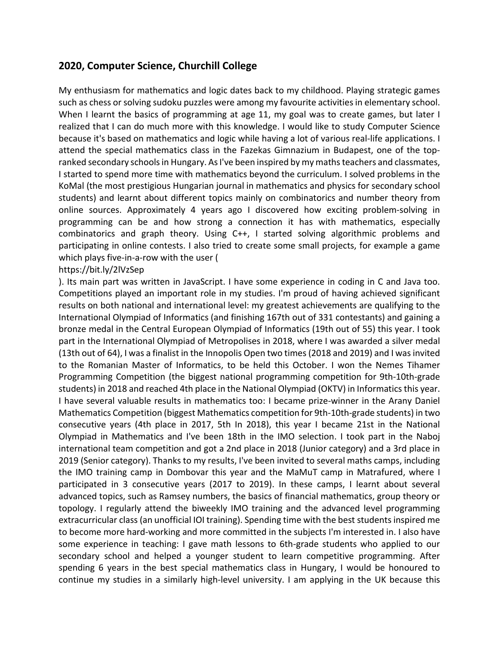## **2020, Computer Science, Churchill College**

My enthusiasm for mathematics and logic dates back to my childhood. Playing strategic games such as chess or solving sudoku puzzles were among my favourite activities in elementary school. When I learnt the basics of programming at age 11, my goal was to create games, but later I realized that I can do much more with this knowledge. I would like to study Computer Science because it's based on mathematics and logic while having a lot of various real-life applications. I attend the special mathematics class in the Fazekas Gimnazium in Budapest, one of the topranked secondary schools in Hungary. As I've been inspired by my maths teachers and classmates, I started to spend more time with mathematics beyond the curriculum. I solved problems in the KoMal (the most prestigious Hungarian journal in mathematics and physics for secondary school students) and learnt about different topics mainly on combinatorics and number theory from online sources. Approximately 4 years ago I discovered how exciting problem-solving in programming can be and how strong a connection it has with mathematics, especially combinatorics and graph theory. Using C++, I started solving algorithmic problems and participating in online contests. I also tried to create some small projects, for example a game which plays five-in-a-row with the user (

## https://bit.ly/2lVzSep

). Its main part was written in JavaScript. I have some experience in coding in C and Java too. Competitions played an important role in my studies. I'm proud of having achieved significant results on both national and international level: my greatest achievements are qualifying to the International Olympiad of Informatics (and finishing 167th out of 331 contestants) and gaining a bronze medal in the Central European Olympiad of Informatics (19th out of 55) this year. I took part in the International Olympiad of Metropolises in 2018, where I was awarded a silver medal (13th out of 64), I was a finalist in the Innopolis Open two times (2018 and 2019) and I was invited to the Romanian Master of Informatics, to be held this October. I won the Nemes Tihamer Programming Competition (the biggest national programming competition for 9th-10th-grade students) in 2018 and reached 4th place in the National Olympiad (OKTV) in Informatics this year. I have several valuable results in mathematics too: I became prize-winner in the Arany Daniel Mathematics Competition (biggest Mathematics competition for 9th-10th-grade students) in two consecutive years (4th place in 2017, 5th In 2018), this year I became 21st in the National Olympiad in Mathematics and I've been 18th in the IMO selection. I took part in the Naboj international team competition and got a 2nd place in 2018 (Junior category) and a 3rd place in 2019 (Senior category). Thanks to my results, I've been invited to several maths camps, including the IMO training camp in Dombovar this year and the MaMuT camp in Matrafured, where I participated in 3 consecutive years (2017 to 2019). In these camps, I learnt about several advanced topics, such as Ramsey numbers, the basics of financial mathematics, group theory or topology. I regularly attend the biweekly IMO training and the advanced level programming extracurricular class (an unofficial IOI training). Spending time with the best students inspired me to become more hard-working and more committed in the subjects I'm interested in. I also have some experience in teaching: I gave math lessons to 6th-grade students who applied to our secondary school and helped a younger student to learn competitive programming. After spending 6 years in the best special mathematics class in Hungary, I would be honoured to continue my studies in a similarly high-level university. I am applying in the UK because this